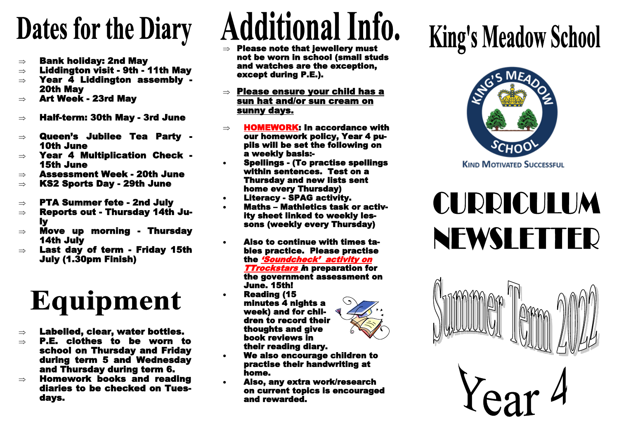## **Dates for the Diary**

- $\Rightarrow$  Bank holiday: 2nd May
- $\Rightarrow$  Liddington visit 9th 11th May
- $\Rightarrow$  Year 4 Liddington assembly -20th May
- $\Rightarrow$  Art Week 23rd Mav
- $\Rightarrow$  Half-term: 30th Mav 3rd June
- $\Rightarrow$  Queen's Jubilee Tea Party -10th June
- $\Rightarrow$  Year 4 Multiplication Check -15th June
- $\Rightarrow$  Assessment Week 20th June
- $\Rightarrow$  KS2 Sports Dav 29th June
- $\Rightarrow$  PTA Summer fete 2nd July
- $\Rightarrow$  Reports out Thursdav 14th July
- $\Rightarrow$  Move up morning Thursdav 14th July
- $\Rightarrow$  Last day of term Friday 15th July (1.30pm Finish)

### Equipment

- $\Rightarrow$  Labelled, clear, water bottles.
- $\Rightarrow$  P.E. clothes to be worn to school on Thursday and Friday during term 5 and Wednesday and Thursday during term 6.
- $\Rightarrow$  Homework books and reading diaries to be checked on Tuesdays.

# **Additional Info.**

- Please note that jewellery must not be worn in school (small studs and watches are the exception, except during P.E.).
- $\Rightarrow$  Please ensure your child has a sun hat and/or sun cream on sunny days.
- $\Rightarrow$  HOMEWORK: In accordance with our homework policy, Year 4 pupils will be set the following on a weekly basis:-
- Spellings (To practise spellings within sentences. Test on a Thursday and new lists sent home every Thursday)
- Literacy SPAG activity.
- Maths Mathletics task or activity sheet linked to weekly lessons (weekly every Thursday)
- Also to continue with times tables practice. Please practise the 'Soundcheck' activity on **TTrockstars in preparation for** the government assessment on June. 15th!
- Reading (15 minutes 4 nights a week) and for children to record their thoughts and give book reviews in their reading diary.



- We also encourage children to practise their handwriting at home.
- Also, any extra work/research on current topics is encouraged and rewarded.

## **King's Meadow School**



### CURRICULUM NEWSLETTER